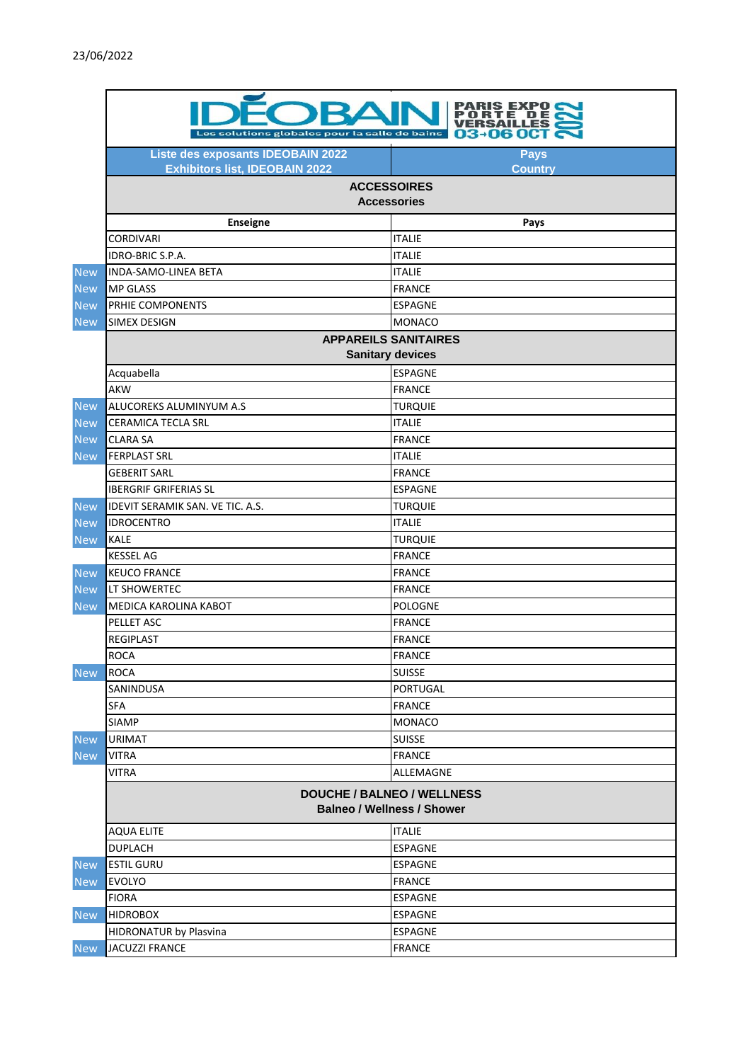|            | RIS EXPO C<br>03-06 OCT C<br>Les solutions globales pour la salle de bains |                |  |
|------------|----------------------------------------------------------------------------|----------------|--|
|            | Liste des exposants IDEOBAIN 2022                                          | <b>Pays</b>    |  |
|            | <b>Exhibitors list, IDEOBAIN 2022</b>                                      | <b>Country</b> |  |
|            | <b>ACCESSOIRES</b><br><b>Accessories</b>                                   |                |  |
|            | <b>Enseigne</b>                                                            | Pays           |  |
|            | <b>CORDIVARI</b>                                                           | <b>ITALIE</b>  |  |
|            | IDRO-BRIC S.P.A.                                                           | <b>ITALIE</b>  |  |
| <b>New</b> | <b>INDA-SAMO-LINEA BETA</b>                                                | <b>ITALIE</b>  |  |
| <b>New</b> | <b>MP GLASS</b>                                                            | <b>FRANCE</b>  |  |
| <b>New</b> | PRHIE COMPONENTS                                                           | <b>ESPAGNE</b> |  |
| <b>New</b> | <b>SIMEX DESIGN</b>                                                        | <b>MONACO</b>  |  |
|            | <b>APPAREILS SANITAIRES</b>                                                |                |  |
|            | <b>Sanitary devices</b>                                                    |                |  |
|            | Acquabella                                                                 | <b>ESPAGNE</b> |  |
|            | <b>AKW</b>                                                                 | <b>FRANCE</b>  |  |
| <b>New</b> | ALUCOREKS ALUMINYUM A.S                                                    | <b>TURQUIE</b> |  |
| <b>New</b> | <b>CERAMICA TECLA SRL</b>                                                  | <b>ITALIE</b>  |  |
| <b>New</b> | <b>CLARA SA</b>                                                            | <b>FRANCE</b>  |  |
| <b>New</b> | <b>FERPLAST SRL</b>                                                        | <b>ITALIE</b>  |  |
|            | <b>GEBERIT SARL</b>                                                        | <b>FRANCE</b>  |  |
|            | <b>IBERGRIF GRIFERIAS SL</b>                                               | <b>ESPAGNE</b> |  |
| <b>New</b> | IDEVIT SERAMIK SAN. VE TIC. A.S.                                           | <b>TURQUIE</b> |  |
| <b>New</b> | <b>IDROCENTRO</b>                                                          | <b>ITALIE</b>  |  |
| <b>New</b> | <b>KALE</b>                                                                | <b>TURQUIE</b> |  |
|            | <b>KESSEL AG</b>                                                           | <b>FRANCE</b>  |  |
| <b>New</b> | <b>KEUCO FRANCE</b>                                                        | <b>FRANCE</b>  |  |
| <b>New</b> | LT SHOWERTEC                                                               | <b>FRANCE</b>  |  |
| <b>New</b> | MEDICA KAROLINA KABOT                                                      | <b>POLOGNE</b> |  |
|            | PELLET ASC                                                                 | <b>FRANCE</b>  |  |
|            | <b>REGIPLAST</b>                                                           | <b>FRANCE</b>  |  |
|            | <b>ROCA</b>                                                                | <b>FRANCE</b>  |  |
| <b>New</b> | <b>ROCA</b>                                                                | <b>SUISSE</b>  |  |
|            | SANINDUSA                                                                  | PORTUGAL       |  |
|            | <b>SFA</b>                                                                 | <b>FRANCE</b>  |  |
|            | <b>SIAMP</b>                                                               | <b>MONACO</b>  |  |
| <b>New</b> | <b>URIMAT</b>                                                              | <b>SUISSE</b>  |  |
| <b>New</b> | <b>VITRA</b>                                                               | <b>FRANCE</b>  |  |
|            | VITRA                                                                      | ALLEMAGNE      |  |
|            | <b>DOUCHE / BALNEO / WELLNESS</b><br><b>Balneo / Wellness / Shower</b>     |                |  |
|            | <b>AQUA ELITE</b>                                                          | <b>ITALIE</b>  |  |
|            | <b>DUPLACH</b>                                                             | <b>ESPAGNE</b> |  |
| <b>New</b> | <b>ESTIL GURU</b>                                                          | <b>ESPAGNE</b> |  |
| <b>New</b> | <b>EVOLYO</b>                                                              | <b>FRANCE</b>  |  |
|            | <b>FIORA</b>                                                               | <b>ESPAGNE</b> |  |
| <b>New</b> | <b>HIDROBOX</b>                                                            | <b>ESPAGNE</b> |  |
|            | <b>HIDRONATUR by Plasvina</b>                                              | <b>ESPAGNE</b> |  |
| <b>New</b> | <b>JACUZZI FRANCE</b>                                                      | <b>FRANCE</b>  |  |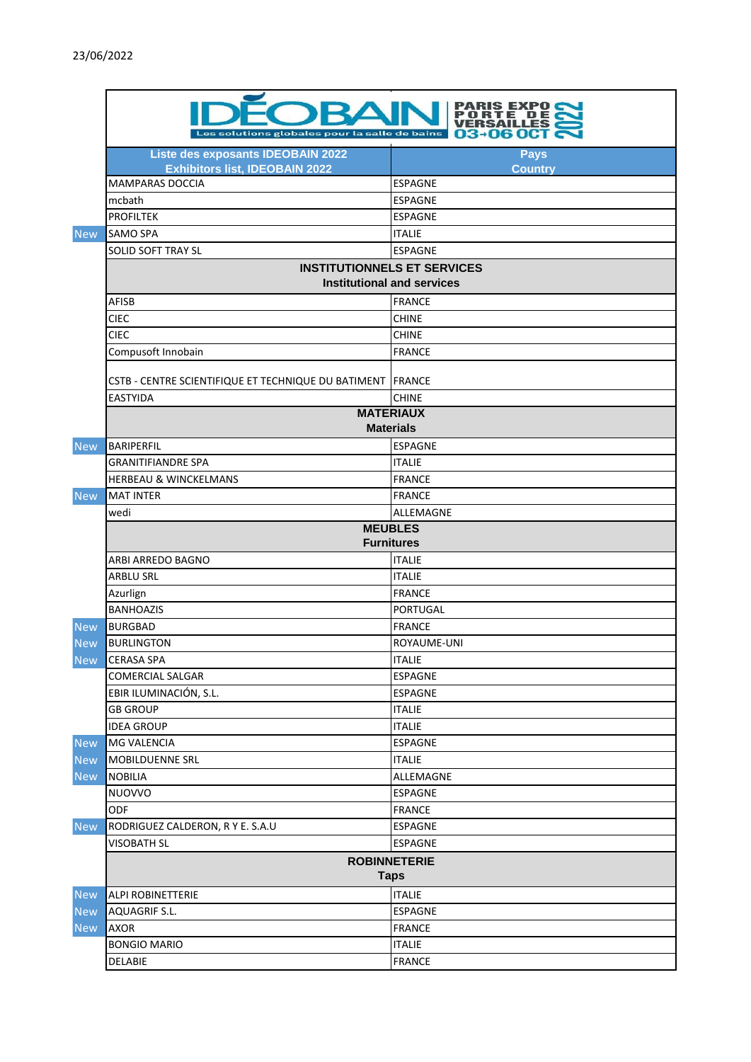|            | Les solutions globales pour la salle de bains                              | S EXPO<br>03-06 OCT C                                                   |  |
|------------|----------------------------------------------------------------------------|-------------------------------------------------------------------------|--|
|            | Liste des exposants IDEOBAIN 2022<br><b>Exhibitors list, IDEOBAIN 2022</b> | <b>Pays</b><br><b>Country</b>                                           |  |
|            | <b>MAMPARAS DOCCIA</b>                                                     | <b>ESPAGNE</b>                                                          |  |
|            | mcbath                                                                     | <b>ESPAGNE</b>                                                          |  |
|            | <b>PROFILTEK</b>                                                           | <b>ESPAGNE</b>                                                          |  |
| <b>New</b> | <b>SAMO SPA</b>                                                            | <b>ITALIE</b>                                                           |  |
|            | <b>SOLID SOFT TRAY SL</b>                                                  | <b>ESPAGNE</b>                                                          |  |
|            |                                                                            | <b>INSTITUTIONNELS ET SERVICES</b><br><b>Institutional and services</b> |  |
|            | AFISB                                                                      | <b>FRANCE</b>                                                           |  |
|            | <b>CIEC</b>                                                                | <b>CHINE</b>                                                            |  |
|            | <b>CIEC</b>                                                                | <b>CHINE</b>                                                            |  |
|            | Compusoft Innobain                                                         | <b>FRANCE</b>                                                           |  |
|            | CSTB - CENTRE SCIENTIFIQUE ET TECHNIQUE DU BATIMENT                        | <b>FRANCE</b>                                                           |  |
|            | <b>EASTYIDA</b>                                                            | <b>CHINE</b>                                                            |  |
|            | <b>MATERIAUX</b><br><b>Materials</b>                                       |                                                                         |  |
| <b>New</b> | <b>BARIPERFIL</b>                                                          | <b>ESPAGNE</b>                                                          |  |
|            | <b>GRANITIFIANDRE SPA</b>                                                  | <b>ITALIE</b>                                                           |  |
|            | <b>HERBEAU &amp; WINCKELMANS</b>                                           | <b>FRANCE</b>                                                           |  |
| <b>New</b> | <b>MAT INTER</b>                                                           | <b>FRANCE</b>                                                           |  |
|            | wedi                                                                       | ALLEMAGNE                                                               |  |
|            |                                                                            | <b>MEUBLES</b>                                                          |  |
|            |                                                                            | <b>Furnitures</b>                                                       |  |
|            | ARBI ARREDO BAGNO                                                          | <b>ITALIE</b>                                                           |  |
|            | ARBLU SRL                                                                  | <b>ITALIE</b>                                                           |  |
|            | Azurlign                                                                   | <b>FRANCE</b>                                                           |  |
|            | <b>BANHOAZIS</b>                                                           | <b>PORTUGAL</b>                                                         |  |
| <b>New</b> | <b>BURGBAD</b>                                                             | <b>FRANCE</b>                                                           |  |
| <b>New</b> | <b>BURLINGTON</b>                                                          | ROYAUME-UNI                                                             |  |
| <b>New</b> | <b>CERASA SPA</b>                                                          | <b>ITALIE</b>                                                           |  |
|            | <b>COMERCIAL SALGAR</b>                                                    | ESPAGNE                                                                 |  |
|            | EBIR ILUMINACIÓN, S.L.                                                     | <b>ESPAGNE</b>                                                          |  |
|            | <b>GB GROUP</b>                                                            | <b>ITALIE</b>                                                           |  |
|            | <b>IDEA GROUP</b>                                                          | <b>ITALIE</b>                                                           |  |
| <b>New</b> | MG VALENCIA                                                                | <b>ESPAGNE</b>                                                          |  |
| <b>New</b> | MOBILDUENNE SRL                                                            | <b>ITALIE</b>                                                           |  |
| <b>New</b> | <b>NOBILIA</b>                                                             | ALLEMAGNE                                                               |  |
|            | NUOVVO                                                                     | <b>ESPAGNE</b>                                                          |  |
|            | ODF                                                                        | <b>FRANCE</b>                                                           |  |
| <b>New</b> | RODRIGUEZ CALDERON, R Y E. S.A.U                                           | <b>ESPAGNE</b>                                                          |  |
|            | <b>VISOBATH SL</b>                                                         | <b>ESPAGNE</b>                                                          |  |
|            | <b>ROBINNETERIE</b><br><b>Taps</b>                                         |                                                                         |  |
| <b>New</b> | ALPI ROBINETTERIE                                                          | <b>ITALIE</b>                                                           |  |
| <b>New</b> | AQUAGRIF S.L.                                                              | <b>ESPAGNE</b>                                                          |  |
| <b>New</b> | AXOR                                                                       | <b>FRANCE</b>                                                           |  |
|            | <b>BONGIO MARIO</b>                                                        | <b>ITALIE</b>                                                           |  |
|            | DELABIE                                                                    | <b>FRANCE</b>                                                           |  |